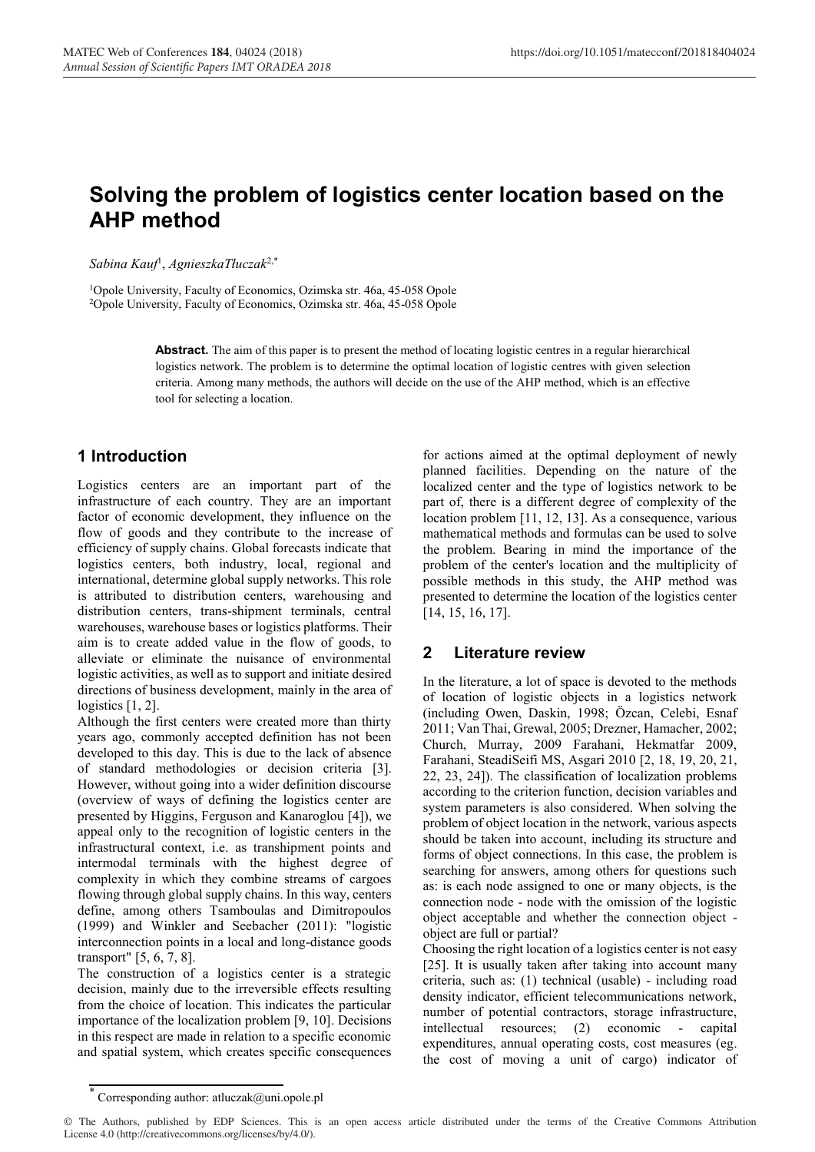# **Solving the problem of logistics center location based on the AHP method**

*Sabina Kauf*<sup>1</sup> , *AgnieszkaTłuczak*2,\*

1Opole University, Faculty of Economics, Ozimska str. 46a, 45-058 Opole 2Opole University, Faculty of Economics, Ozimska str. 46a, 45-058 Opole

> **Abstract.** The aim of this paper is to present the method of locating logistic centres in a regular hierarchical logistics network. The problem is to determine the optimal location of logistic centres with given selection criteria. Among many methods, the authors will decide on the use of the AHP method, which is an effective tool for selecting a location.

## **1 Introduction**

Logistics centers are an important part of the infrastructure of each country. They are an important factor of economic development, they influence on the flow of goods and they contribute to the increase of efficiency of supply chains. Global forecasts indicate that logistics centers, both industry, local, regional and international, determine global supply networks. This role is attributed to distribution centers, warehousing and distribution centers, trans-shipment terminals, central warehouses, warehouse bases or logistics platforms. Their aim is to create added value in the flow of goods, to alleviate or eliminate the nuisance of environmental logistic activities, as well as to support and initiate desired directions of business development, mainly in the area of logistics [1, 2].

Although the first centers were created more than thirty years ago, commonly accepted definition has not been developed to this day. This is due to the lack of absence of standard methodologies or decision criteria [3]. However, without going into a wider definition discourse (overview of ways of defining the logistics center are presented by Higgins, Ferguson and Kanaroglou [4]), we appeal only to the recognition of logistic centers in the infrastructural context, i.e. as transhipment points and intermodal terminals with the highest degree of complexity in which they combine streams of cargoes flowing through global supply chains. In this way, centers define, among others Tsamboulas and Dimitropoulos (1999) and Winkler and Seebacher (2011): "logistic interconnection points in a local and long-distance goods transport" [5, 6, 7, 8].

The construction of a logistics center is a strategic decision, mainly due to the irreversible effects resulting from the choice of location. This indicates the particular importance of the localization problem [9, 10]. Decisions in this respect are made in relation to a specific economic and spatial system, which creates specific consequences

for actions aimed at the optimal deployment of newly planned facilities. Depending on the nature of the localized center and the type of logistics network to be part of, there is a different degree of complexity of the location problem [11, 12, 13]. As a consequence, various mathematical methods and formulas can be used to solve the problem. Bearing in mind the importance of the problem of the center's location and the multiplicity of possible methods in this study, the AHP method was presented to determine the location of the logistics center [14, 15, 16, 17].

### **2 Literature review**

In the literature, a lot of space is devoted to the methods of location of logistic objects in a logistics network (including Owen, Daskin, 1998; Özcan, Celebi, Esnaf 2011; Van Thai, Grewal, 2005; Drezner, Hamacher, 2002; Church, Murray, 2009 Farahani, Hekmatfar 2009, Farahani, SteadiSeifi MS, Asgari 2010 [2, 18, 19, 20, 21, 22, 23, 24]). The classification of localization problems according to the criterion function, decision variables and system parameters is also considered. When solving the problem of object location in the network, various aspects should be taken into account, including its structure and forms of object connections. In this case, the problem is searching for answers, among others for questions such as: is each node assigned to one or many objects, is the connection node - node with the omission of the logistic object acceptable and whether the connection object object are full or partial?

Choosing the right location of a logistics center is not easy [25]. It is usually taken after taking into account many criteria, such as: (1) technical (usable) - including road density indicator, efficient telecommunications network, number of potential contractors, storage infrastructure, intellectual resources; (2) economic - capital expenditures, annual operating costs, cost measures (eg. the cost of moving a unit of cargo) indicator of

Corresponding author: atluczak@uni.opole.pl

<sup>©</sup> The Authors, published by EDP Sciences. This is an open access article distributed under the terms of the Creative Commons Attribution License 4.0 (http://creativecommons.org/licenses/by/4.0/).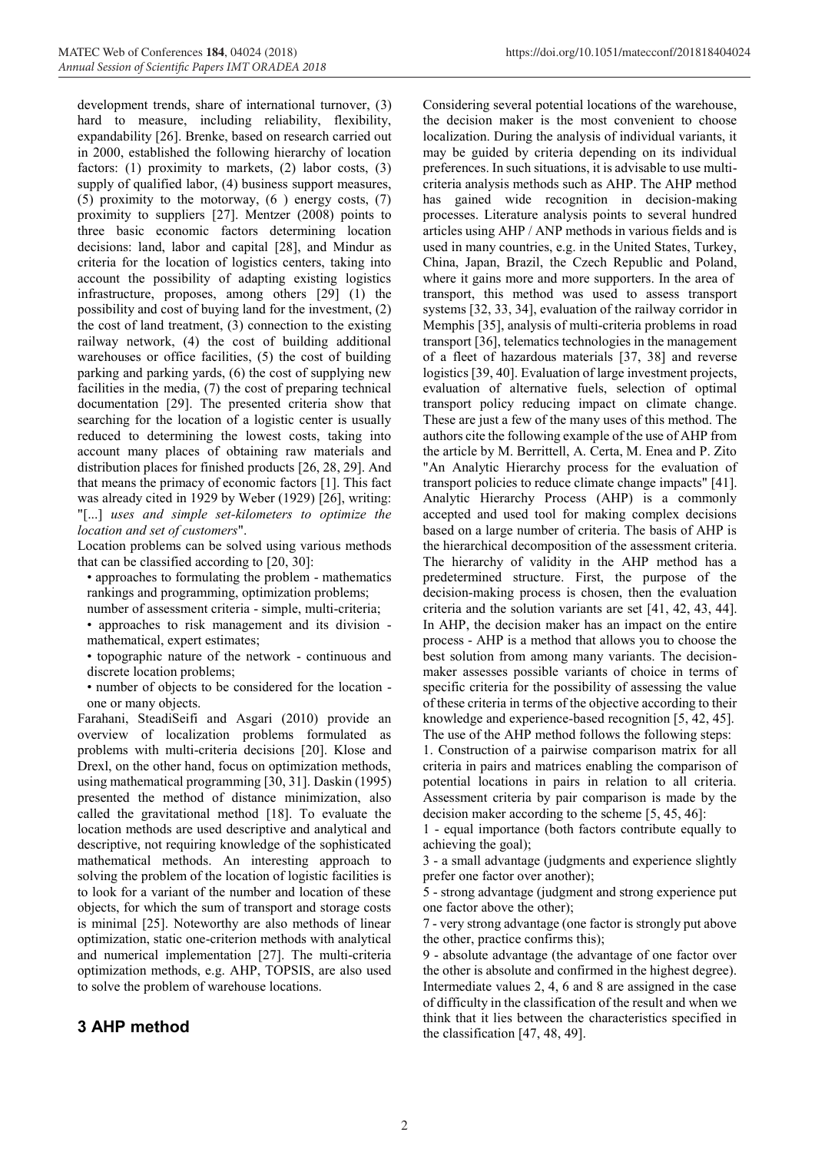development trends, share of international turnover, (3) hard to measure, including reliability, flexibility, expandability [26]. Brenke, based on research carried out in 2000, established the following hierarchy of location factors: (1) proximity to markets, (2) labor costs, (3) supply of qualified labor, (4) business support measures, (5) proximity to the motorway, (6 ) energy costs, (7) proximity to suppliers [27]. Mentzer (2008) points to three basic economic factors determining location decisions: land, labor and capital [28], and Mindur as criteria for the location of logistics centers, taking into account the possibility of adapting existing logistics infrastructure, proposes, among others [29] (1) the possibility and cost of buying land for the investment, (2) the cost of land treatment, (3) connection to the existing railway network, (4) the cost of building additional warehouses or office facilities, (5) the cost of building parking and parking yards, (6) the cost of supplying new facilities in the media, (7) the cost of preparing technical documentation [29]. The presented criteria show that searching for the location of a logistic center is usually reduced to determining the lowest costs, taking into account many places of obtaining raw materials and distribution places for finished products [26, 28, 29]. And that means the primacy of economic factors [1]. This fact was already cited in 1929 by Weber (1929) [26], writing: "[...] *uses and simple set-kilometers to optimize the location and set of customers*".

Location problems can be solved using various methods that can be classified according to [20, 30]:

• approaches to formulating the problem - mathematics rankings and programming, optimization problems;

number of assessment criteria - simple, multi-criteria;

• approaches to risk management and its division mathematical, expert estimates;

• topographic nature of the network - continuous and discrete location problems;

• number of objects to be considered for the location one or many objects.

Farahani, SteadiSeifi and Asgari (2010) provide an overview of localization problems formulated as problems with multi-criteria decisions [20]. Klose and Drexl, on the other hand, focus on optimization methods, using mathematical programming [30, 31]. Daskin (1995) presented the method of distance minimization, also called the gravitational method [18]. To evaluate the location methods are used descriptive and analytical and descriptive, not requiring knowledge of the sophisticated mathematical methods. An interesting approach to solving the problem of the location of logistic facilities is to look for a variant of the number and location of these objects, for which the sum of transport and storage costs is minimal [25]. Noteworthy are also methods of linear optimization, static one-criterion methods with analytical and numerical implementation [27]. The multi-criteria optimization methods, e.g. AHP, TOPSIS, are also used to solve the problem of warehouse locations.

## **3 AHP method**

Considering several potential locations of the warehouse, the decision maker is the most convenient to choose localization. During the analysis of individual variants, it may be guided by criteria depending on its individual preferences. In such situations, it is advisable to use multicriteria analysis methods such as AHP. The AHP method has gained wide recognition in decision-making processes. Literature analysis points to several hundred articles using AHP / ANP methods in various fields and is used in many countries, e.g. in the United States, Turkey, China, Japan, Brazil, the Czech Republic and Poland, where it gains more and more supporters. In the area of transport, this method was used to assess transport systems [32, 33, 34], evaluation of the railway corridor in Memphis [35], analysis of multi-criteria problems in road transport [36], telematics technologies in the management of a fleet of hazardous materials [37, 38] and reverse logistics [39, 40]. Evaluation of large investment projects, evaluation of alternative fuels, selection of optimal transport policy reducing impact on climate change. These are just a few of the many uses of this method. The authors cite the following example of the use of AHP from the article by M. Berrittell, A. Certa, M. Enea and P. Zito "An Analytic Hierarchy process for the evaluation of transport policies to reduce climate change impacts" [41]. Analytic Hierarchy Process (AHP) is a commonly accepted and used tool for making complex decisions based on a large number of criteria. The basis of AHP is the hierarchical decomposition of the assessment criteria. The hierarchy of validity in the AHP method has a predetermined structure. First, the purpose of the decision-making process is chosen, then the evaluation criteria and the solution variants are set [41, 42, 43, 44]. In AHP, the decision maker has an impact on the entire process - AHP is a method that allows you to choose the best solution from among many variants. The decisionmaker assesses possible variants of choice in terms of specific criteria for the possibility of assessing the value of these criteria in terms of the objective according to their knowledge and experience-based recognition [5, 42, 45]. The use of the AHP method follows the following steps:

1. Construction of a pairwise comparison matrix for all criteria in pairs and matrices enabling the comparison of potential locations in pairs in relation to all criteria. Assessment criteria by pair comparison is made by the decision maker according to the scheme [5, 45, 46]:

1 - equal importance (both factors contribute equally to achieving the goal);

3 - a small advantage (judgments and experience slightly prefer one factor over another);

5 - strong advantage (judgment and strong experience put one factor above the other);

7 - very strong advantage (one factor is strongly put above the other, practice confirms this);

9 - absolute advantage (the advantage of one factor over the other is absolute and confirmed in the highest degree). Intermediate values 2, 4, 6 and 8 are assigned in the case of difficulty in the classification of the result and when we think that it lies between the characteristics specified in the classification [47, 48, 49].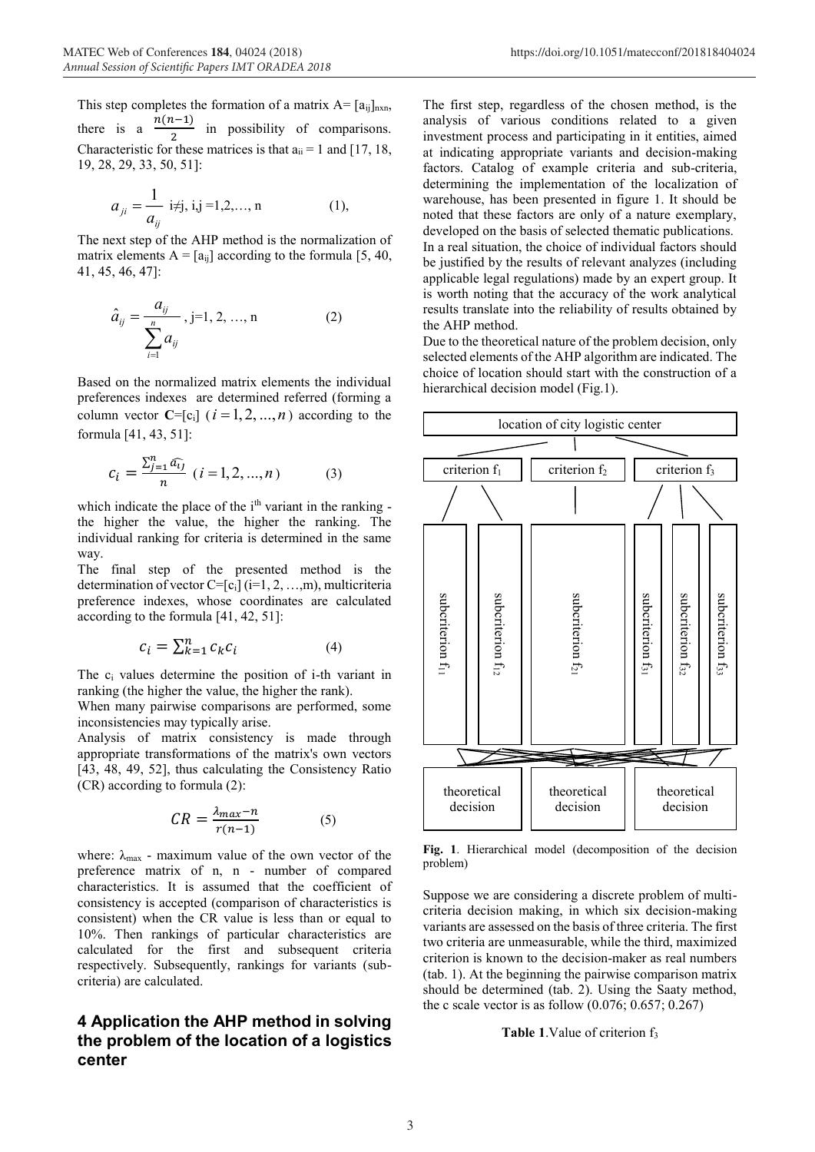This step completes the formation of a matrix  $A = [a_{ij}]_{n \times n}$ , there is  $a$  $\frac{n(n-1)}{2}$  in possibility of comparisons. Characteristic for these matrices is that  $a_{ii} = 1$  and [17, 18, 19, 28, 29, 33, 50, 51]:

$$
a_{ji} = \frac{1}{a_{ij}} \text{ i}\neq j, \text{ i,j} = 1,2,...,n \tag{1},
$$

The next step of the AHP method is the normalization of matrix elements  $A = [a_{ij}]$  according to the formula [5, 40, 41, 45, 46, 47]:

$$
\hat{a}_{ij} = \frac{a_{ij}}{\sum_{i=1}^{n} a_{ij}}, j=1, 2, ..., n
$$
 (2)

Based on the normalized matrix elements the individual preferences indexes are determined referred (forming a column vector  $C=[c_i]$  ( $i=1,2,...,n$ ) according to the formula [41, 43, 51]:

$$
c_i = \frac{\sum_{j=1}^{n} \hat{a_{ij}}}{n} \ (i = 1, 2, ..., n)
$$
 (3)

which indicate the place of the  $i<sup>th</sup>$  variant in the ranking the higher the value, the higher the ranking. The individual ranking for criteria is determined in the same way.

The final step of the presented method is the determination of vector C=[c<sub>i</sub>] (i=1, 2, …,m), multicriteria preference indexes, whose coordinates are calculated according to the formula [41, 42, 51]:

$$
c_i = \sum_{k=1}^{n} c_k c_i \tag{4}
$$

The ci values determine the position of i-th variant in ranking (the higher the value, the higher the rank).

When many pairwise comparisons are performed, some inconsistencies may typically arise.

Analysis of matrix consistency is made through appropriate transformations of the matrix's own vectors [43, 48, 49, 52], thus calculating the Consistency Ratio (CR) according to formula (2):

$$
CR = \frac{\lambda_{max} - n}{r(n-1)}
$$
 (5)

where:  $\lambda_{\text{max}}$  - maximum value of the own vector of the preference matrix of n, n - number of compared characteristics. It is assumed that the coefficient of consistency is accepted (comparison of characteristics is consistent) when the CR value is less than or equal to 10%. Then rankings of particular characteristics are calculated for the first and subsequent criteria respectively. Subsequently, rankings for variants (subcriteria) are calculated.

### **4 Application the AHP method in solving the problem of the location of a logistics center**

The first step, regardless of the chosen method, is the analysis of various conditions related to a given investment process and participating in it entities, aimed at indicating appropriate variants and decision-making factors. Catalog of example criteria and sub-criteria, determining the implementation of the localization of warehouse, has been presented in figure 1. It should be noted that these factors are only of a nature exemplary, developed on the basis of selected thematic publications. In a real situation, the choice of individual factors should be justified by the results of relevant analyzes (including applicable legal regulations) made by an expert group. It is worth noting that the accuracy of the work analytical results translate into the reliability of results obtained by the AHP method.

Due to the theoretical nature of the problem decision, only selected elements of the AHP algorithm are indicated. The choice of location should start with the construction of a hierarchical decision model (Fig.1).



**Fig. 1**. Hierarchical model (decomposition of the decision problem)

Suppose we are considering a discrete problem of multicriteria decision making, in which six decision-making variants are assessed on the basis of three criteria. The first two criteria are unmeasurable, while the third, maximized criterion is known to the decision-maker as real numbers (tab. 1). At the beginning the pairwise comparison matrix should be determined (tab. 2). Using the Saaty method, the c scale vector is as follow  $(0.076; 0.657; 0.267)$ 

**Table 1**.Value of criterion f<sub>3</sub>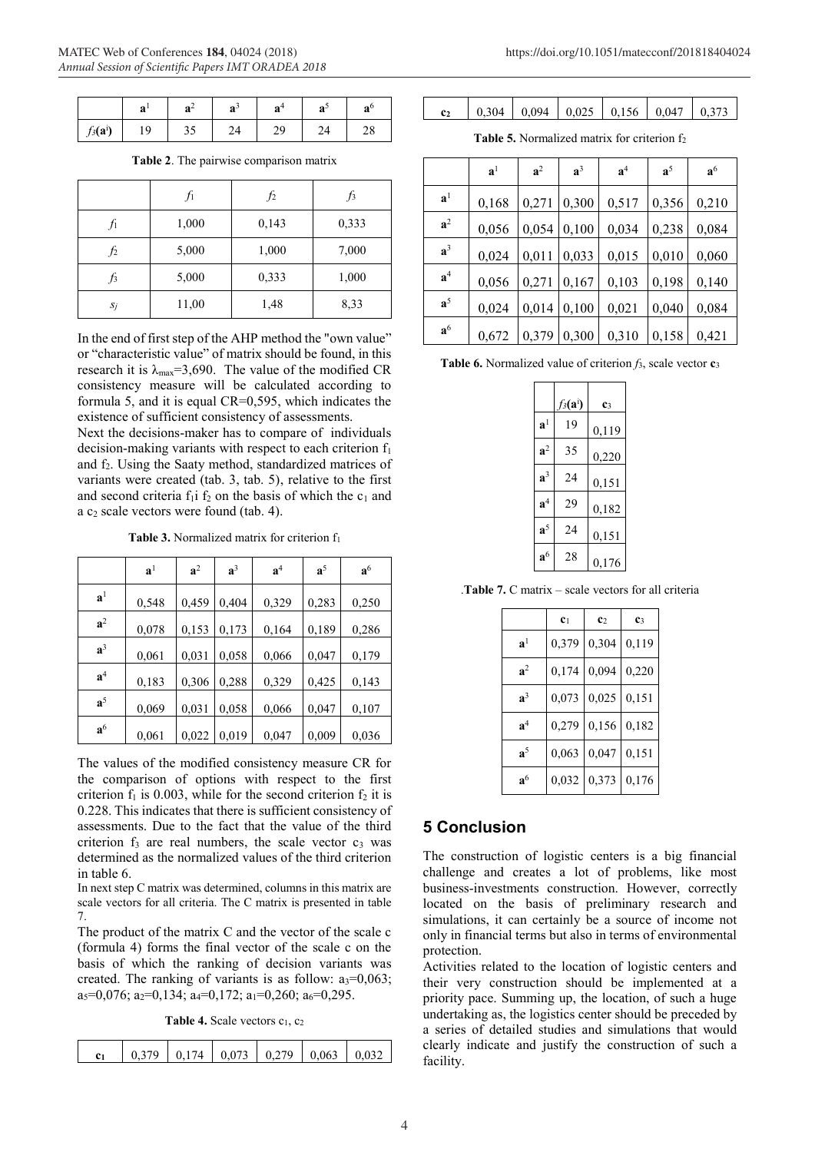|                     | a      | $\Omega$<br>a | $a^{\prime}$ | a       | െ<br>a | a  |
|---------------------|--------|---------------|--------------|---------|--------|----|
| $f_3(\mathbf{a}^i)$ | Q<br>╯ |               | ╜<br>~⊤      | n<br>47 |        | ∠o |

**Table 2**. The pairwise comparison matrix

|        | $f_1$ | f2    | $\int$ |
|--------|-------|-------|--------|
| $f_1$  | 1,000 | 0,143 | 0,333  |
| $f_2$  | 5,000 | 1,000 | 7,000  |
| $\int$ | 5,000 | 0,333 | 1,000  |
| $S_j$  | 11,00 | 1,48  | 8,33   |

In the end of first step of the AHP method the "own value" or "characteristic value" of matrix should be found, in this research it is  $\lambda_{\text{max}}=3,690$ . The value of the modified CR consistency measure will be calculated according to formula 5, and it is equal CR=0,595, which indicates the existence of sufficient consistency of assessments.

Next the decisions-maker has to compare of individuals decision-making variants with respect to each criterion  $f_1$ and f2. Using the Saaty method, standardized matrices of variants were created (tab. 3, tab. 5), relative to the first and second criteria  $f_1$  i  $f_2$  on the basis of which the  $c_1$  and a  $c_2$  scale vectors were found (tab. 4).

**Table 3.** Normalized matrix for criterion f<sub>1</sub>

|                | $\mathbf{a}^1$ | a <sup>2</sup> | $a^3$ | a <sup>4</sup> | $a^5$ | a <sup>6</sup> |
|----------------|----------------|----------------|-------|----------------|-------|----------------|
| $\mathbf{a}^1$ | 0,548          | 0,459          | 0,404 | 0,329          | 0,283 | 0,250          |
| $a^2$          | 0,078          | 0,153          | 0,173 | 0,164          | 0,189 | 0,286          |
| $a^3$          | 0,061          | 0,031          | 0,058 | 0,066          | 0,047 | 0,179          |
| $\mathbf{a}^4$ | 0,183          | 0,306          | 0,288 | 0,329          | 0,425 | 0,143          |
| $a^5$          | 0,069          | 0,031          | 0,058 | 0,066          | 0,047 | 0,107          |
| a <sup>6</sup> | 0,061          | 0,022          | 0,019 | 0,047          | 0,009 | 0,036          |

The values of the modified consistency measure CR for the comparison of options with respect to the first criterion  $f_1$  is 0.003, while for the second criterion  $f_2$  it is 0.228. This indicates that there is sufficient consistency of assessments. Due to the fact that the value of the third criterion  $f_3$  are real numbers, the scale vector  $c_3$  was determined as the normalized values of the third criterion in table 6.

In next step C matrix was determined, columns in this matrix are scale vectors for all criteria. The C matrix is presented in table 7.

The product of the matrix C and the vector of the scale c (formula 4) forms the final vector of the scale c on the basis of which the ranking of decision variants was created. The ranking of variants is as follow:  $a_3=0.063$ ;  $a_5=0,076$ ;  $a_2=0,134$ ;  $a_4=0,172$ ;  $a_1=0,260$ ;  $a_6=0,295$ .

Table 4. Scale vectors c<sub>1</sub>, c<sub>2</sub>

| $\vert$ 0.174   0.073   0.279   0.063   0.032 |
|-----------------------------------------------|
|-----------------------------------------------|

| c <sub>2</sub> |  | $\vert 0.304 \vert 0.094 \vert 0.025 \vert 0.156 \vert 0.047 \vert 0.373$ |  |
|----------------|--|---------------------------------------------------------------------------|--|

**Table 5.** Normalized matrix for criterion f<sub>2</sub>

|                | a <sup>1</sup> | a <sup>2</sup> | $a^3$ | a <sup>4</sup> | $a^5$ | a <sup>6</sup> |
|----------------|----------------|----------------|-------|----------------|-------|----------------|
| a <sup>1</sup> | 0,168          | 0,271          | 0,300 | 0,517          | 0,356 | 0,210          |
| a <sup>2</sup> | 0,056          | 0,054          | 0,100 | 0,034          | 0,238 | 0,084          |
| $a^3$          | 0,024          | 0,011          | 0,033 | 0,015          | 0,010 | 0,060          |
| $\mathbf{a}^4$ | 0,056          | 0,271          | 0,167 | 0,103          | 0,198 | 0,140          |
| $a^5$          | 0,024          | 0,014          | 0,100 | 0,021          | 0,040 | 0,084          |
| a <sup>6</sup> | 0,672          | 0,379          | 0,300 | 0,310          | 0,158 | 0,421          |

**Table 6.** Normalized value of criterion *f*3, scale vector **c**<sup>3</sup>

|                | $f_3(\mathbf{a}^i)$ | c <sub>3</sub> |
|----------------|---------------------|----------------|
| $\mathbf{a}^1$ | 19                  | 0,119          |
| a <sup>2</sup> | 35                  | 0,220          |
| $a^3$          | 24                  | 0,151          |
| a <sup>4</sup> | 29                  | 0,182          |
| a <sup>5</sup> | 24                  | 0,151          |
| $a^6$          | 28                  | 0,176          |

.**Table 7.** C matrix – scale vectors for all criteria

|                | c <sub>1</sub> | c <sub>2</sub> | c <sub>3</sub> |
|----------------|----------------|----------------|----------------|
| a <sup>1</sup> | 0,379          | 0,304          | 0,119          |
| $a^2$          | 0,174          | 0,094          | 0,220          |
| $a^3$          | 0,073          | 0,025          | 0,151          |
| a <sup>4</sup> | 0,279          | 0,156          | 0,182          |
| $\mathbf{a}^5$ | 0,063          | 0,047          | 0,151          |
| a <sup>6</sup> | 0,032          | 0,373          | 0,176          |

### **5 Conclusion**

The construction of logistic centers is a big financial challenge and creates a lot of problems, like most business-investments construction. However, correctly located on the basis of preliminary research and simulations, it can certainly be a source of income not only in financial terms but also in terms of environmental protection.

Activities related to the location of logistic centers and their very construction should be implemented at a priority pace. Summing up, the location, of such a huge undertaking as, the logistics center should be preceded by a series of detailed studies and simulations that would clearly indicate and justify the construction of such a facility.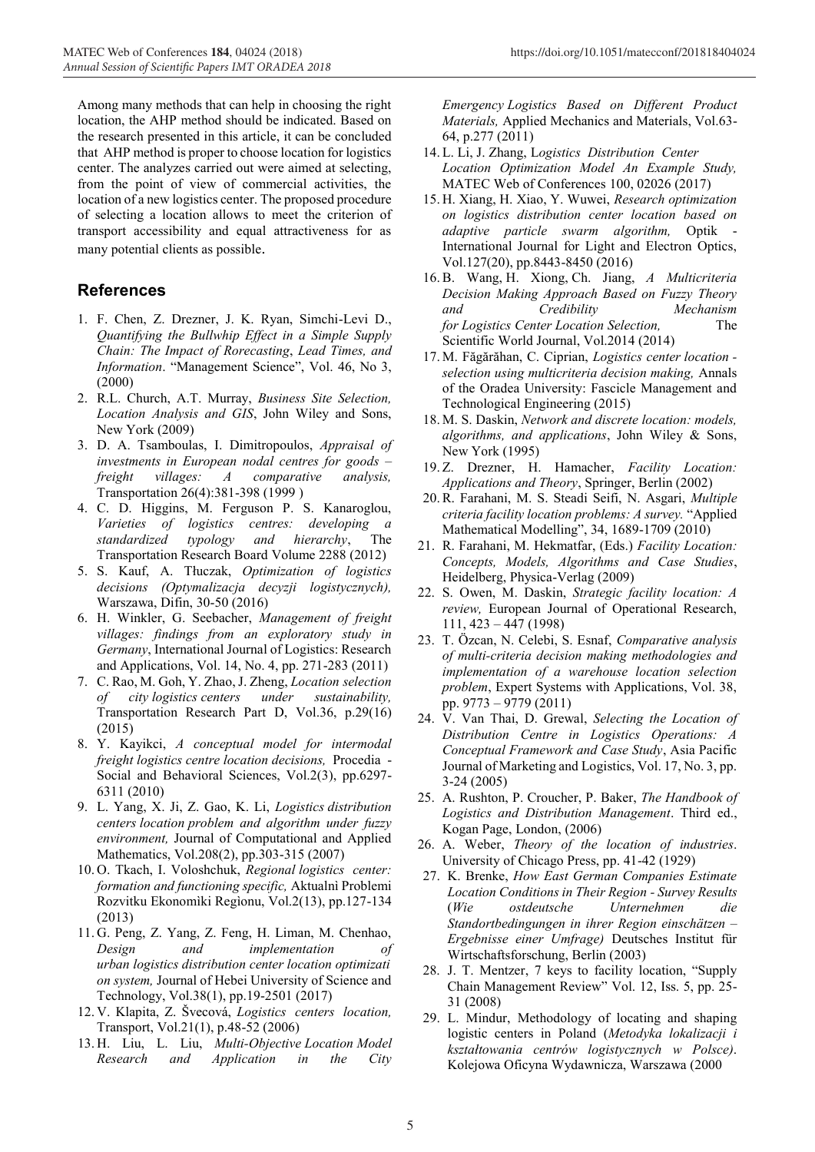Among many methods that can help in choosing the right location, the AHP method should be indicated. Based on the research presented in this article, it can be concluded that AHP method is proper to choose location for logistics center. The analyzes carried out were aimed at selecting, from the point of view of commercial activities, the location of a new logistics center. The proposed procedure of selecting a location allows to meet the criterion of transport accessibility and equal attractiveness for as many potential clients as possible.

## **References**

- 1. F. Chen, Z. Drezner, J. K. Ryan, Simchi-Levi D., *Quantifying the Bullwhip Effect in a Simple Supply Chain: The Impact of Rorecasting*, *Lead Times, and Information*. "Management Science", Vol. 46, No 3, (2000)
- 2. R.L. Church, A.T. Murray, *Business Site Selection, Location Analysis and GIS*, John Wiley and Sons, New York (2009)
- 3. D. A. Tsamboulas, I. Dimitropoulos, *Appraisal of investments in European nodal centres for goods – freight villages: A comparative analysis,* Transportation 26(4):381-398 (1999 )
- 4. C. D. Higgins, M. Ferguson P. S. Kanaroglou, *Varieties of logistics centres: developing a standardized typology and hierarchy*, The Transportation Research Board Volume 2288 (2012)
- 5. S. Kauf, A. Tłuczak, *Optimization of logistics decisions (Optymalizacja decyzji logistycznych),*  Warszawa, Difin, 30-50 (2016)
- 6. H. Winkler, G. Seebacher, *Management of freight villages: findings from an exploratory study in Germany*, International Journal of Logistics: Research and Applications, Vol. 14, No. 4, pp. 271-283 (2011)
- 7. C. Rao, M. Goh, Y. Zhao, J. Zheng, *Location selection of city logistics centers under sustainability,*  Transportation Research Part D, Vol.36, p.29(16) (2015)
- 8. Y. Kayikci, *A conceptual model for intermodal freight logistics centre location decisions,* Procedia - Social and Behavioral Sciences, Vol.2(3), pp.6297- 6311 (2010)
- 9. L. Yang, X. Ji, Z. Gao, K. Li, *Logistics distribution centers location problem and algorithm under fuzzy environment,* Journal of Computational and Applied Mathematics, Vol.208(2), pp.303-315 (2007)
- 10. O. Tkach, I. Voloshchuk, *Regional logistics center: formation and functioning specific,* Aktualnì Problemi Rozvitku Ekonomìki Regìonu, Vol.2(13), pp.127-134 (2013)
- 11. G. Peng, Z. Yang, Z. Feng, H. Liman, M. Chenhao, *Design and implementation of urban logistics distribution center location optimizati on system,* Journal of Hebei University of Science and Technology, Vol.38(1), pp.19-2501 (2017)
- 12. V. Klapita, Z. Švecová, *Logistics centers location,*  Transport, Vol.21(1), p.48-52 (2006)
- 13. H. Liu, L. Liu, *Multi-Objective Location Model Research and Application in the City*

*Emergency Logistics Based on Different Product Materials,* Applied Mechanics and Materials, Vol.63- 64, p.277 (2011)

- 14. L. Li, J. Zhang, L*ogistics Distribution Center Location Optimization Model An Example Study,*  MATEC Web of Conferences 100, 02026 (2017)
- 15. H. Xiang, H. Xiao, Y. Wuwei, *Research optimization on logistics distribution center location based on adaptive particle swarm algorithm,* Optik - International Journal for Light and Electron Optics, Vol.127(20), pp.8443-8450 (2016)
- 16.B. Wang, H. Xiong, Ch. Jiang, *A Multicriteria Decision Making Approach Based on Fuzzy Theory and Credibility Mechanism for Logistics Center Location Selection,* The Scientific World Journal, Vol.2014 (2014)
- 17. M. Făgărăhan, C. Ciprian, *Logistics center location selection using multicriteria decision making,* Annals of the Oradea University: Fascicle Management and Technological Engineering (2015)
- 18. M. S. Daskin, *Network and discrete location: models, algorithms, and applications*, John Wiley & Sons, New York (1995)
- 19. Z. Drezner, H. Hamacher, *Facility Location: Applications and Theory*, Springer, Berlin (2002)
- 20.R. Farahani, M. S. Steadi Seifi, N. Asgari, *Multiple criteria facility location problems: A survey.* "Applied Mathematical Modelling", 34, 1689-1709 (2010)
- 21. R. Farahani, M. Hekmatfar, (Eds.) *Facility Location: Concepts, Models, Algorithms and Case Studies*, Heidelberg, Physica-Verlag (2009)
- 22. S. Owen, M. Daskin, *Strategic facility location: A review,* European Journal of Operational Research, 111, 423 – 447 (1998)
- 23. T. Özcan, N. Celebi, S. Esnaf, *Comparative analysis of multi-criteria decision making methodologies and implementation of a warehouse location selection problem*, Expert Systems with Applications, Vol. 38, pp. 9773 – 9779 (2011)
- 24. V. Van Thai, D. Grewal, *Selecting the Location of Distribution Centre in Logistics Operations: A Conceptual Framework and Case Study*, Asia Pacific Journal of Marketing and Logistics, Vol. 17, No. 3, pp. 3-24 (2005)
- 25. A. Rushton, P. Croucher, P. Baker, *The Handbook of Logistics and Distribution Management*. Third ed., Kogan Page, London, (2006)
- 26. A. Weber, *Theory of the location of industries*. University of Chicago Press, pp. 41-42 (1929)
- 27. K. Brenke, *How East German Companies Estimate Location Conditions in Their Region - Survey Results* (*Wie ostdeutsche Unternehmen die Standortbedingungen in ihrer Region einschätzen – Ergebnisse einer Umfrage)* Deutsches Institut für Wirtschaftsforschung, Berlin (2003)
- 28. J. T. Mentzer, 7 keys to facility location, "Supply Chain Management Review" Vol. 12, Iss. 5, pp. 25- 31 (2008)
- 29. L. Mindur, Methodology of locating and shaping logistic centers in Poland (*Metodyka lokalizacji i kształtowania centrów logistycznych w Polsce)*. Kolejowa Oficyna Wydawnicza, Warszawa (2000